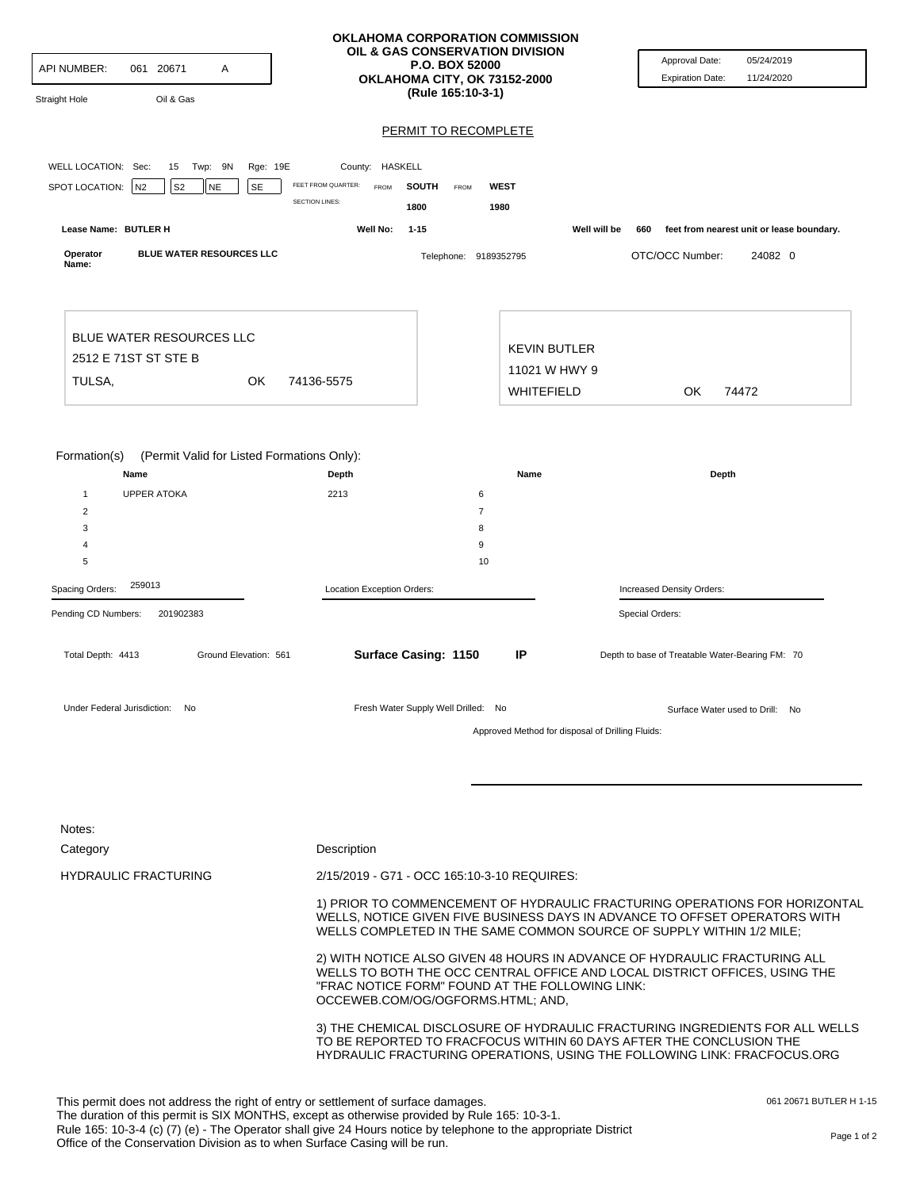| <b>API NUMBER:</b><br>061 20671<br>Α<br>Oil & Gas<br><b>Straight Hole</b>                                                                                                                     | OKLAHOMA CORPORATION COMMISSION<br>OIL & GAS CONSERVATION DIVISION<br>P.O. BOX 52000<br>OKLAHOMA CITY, OK 73152-2000<br>(Rule 165:10-3-1)                                                                                        |                                                                                                                                                                                                                                                 | Approval Date:<br>05/24/2019<br>11/24/2020<br><b>Expiration Date:</b> |                                                                                                                                                                                                                                 |  |
|-----------------------------------------------------------------------------------------------------------------------------------------------------------------------------------------------|----------------------------------------------------------------------------------------------------------------------------------------------------------------------------------------------------------------------------------|-------------------------------------------------------------------------------------------------------------------------------------------------------------------------------------------------------------------------------------------------|-----------------------------------------------------------------------|---------------------------------------------------------------------------------------------------------------------------------------------------------------------------------------------------------------------------------|--|
|                                                                                                                                                                                               |                                                                                                                                                                                                                                  | <b>PERMIT TO RECOMPLETE</b>                                                                                                                                                                                                                     |                                                                       |                                                                                                                                                                                                                                 |  |
| WELL LOCATION: Sec:<br>15 Twp: 9N<br>Rge: 19E<br>SPOT LOCATION:<br>S <sub>2</sub><br><b>SE</b><br>N <sub>2</sub><br>NE                                                                        | County: HASKELL<br>FEET FROM QUARTER:<br><b>FROM</b>                                                                                                                                                                             | <b>SOUTH</b><br><b>WEST</b><br><b>FROM</b>                                                                                                                                                                                                      |                                                                       |                                                                                                                                                                                                                                 |  |
|                                                                                                                                                                                               | <b>SECTION LINES:</b>                                                                                                                                                                                                            | 1800<br>1980                                                                                                                                                                                                                                    |                                                                       |                                                                                                                                                                                                                                 |  |
| Lease Name: BUTLER H<br>BLUE WATER RESOURCES LLC<br>Operator                                                                                                                                  | Well No:                                                                                                                                                                                                                         | $1 - 15$                                                                                                                                                                                                                                        | Well will be                                                          | feet from nearest unit or lease boundary.<br>660<br>OTC/OCC Number:<br>24082 0                                                                                                                                                  |  |
| Name:                                                                                                                                                                                         |                                                                                                                                                                                                                                  | Telephone: 9189352795                                                                                                                                                                                                                           |                                                                       |                                                                                                                                                                                                                                 |  |
|                                                                                                                                                                                               |                                                                                                                                                                                                                                  |                                                                                                                                                                                                                                                 |                                                                       |                                                                                                                                                                                                                                 |  |
| <b>BLUE WATER RESOURCES LLC</b><br>2512 E 71ST ST STE B                                                                                                                                       |                                                                                                                                                                                                                                  |                                                                                                                                                                                                                                                 | <b>KEVIN BUTLER</b>                                                   |                                                                                                                                                                                                                                 |  |
| TULSA.<br>OK                                                                                                                                                                                  | 74136-5575                                                                                                                                                                                                                       |                                                                                                                                                                                                                                                 | 11021 W HWY 9                                                         |                                                                                                                                                                                                                                 |  |
|                                                                                                                                                                                               |                                                                                                                                                                                                                                  |                                                                                                                                                                                                                                                 | WHITEFIELD                                                            | OK<br>74472                                                                                                                                                                                                                     |  |
|                                                                                                                                                                                               |                                                                                                                                                                                                                                  |                                                                                                                                                                                                                                                 |                                                                       |                                                                                                                                                                                                                                 |  |
| Formation(s)<br>(Permit Valid for Listed Formations Only):<br>Name                                                                                                                            | Depth                                                                                                                                                                                                                            | Name                                                                                                                                                                                                                                            |                                                                       | Depth                                                                                                                                                                                                                           |  |
| <b>UPPER ATOKA</b><br>$\mathbf{1}$                                                                                                                                                            | 2213                                                                                                                                                                                                                             | 6                                                                                                                                                                                                                                               |                                                                       |                                                                                                                                                                                                                                 |  |
| 2                                                                                                                                                                                             |                                                                                                                                                                                                                                  | $\overline{7}$                                                                                                                                                                                                                                  |                                                                       |                                                                                                                                                                                                                                 |  |
| 3<br>4                                                                                                                                                                                        |                                                                                                                                                                                                                                  | 8<br>9                                                                                                                                                                                                                                          |                                                                       |                                                                                                                                                                                                                                 |  |
| 5                                                                                                                                                                                             |                                                                                                                                                                                                                                  | 10                                                                                                                                                                                                                                              |                                                                       |                                                                                                                                                                                                                                 |  |
| 259013<br>Spacing Orders:                                                                                                                                                                     | Location Exception Orders:                                                                                                                                                                                                       |                                                                                                                                                                                                                                                 |                                                                       | Increased Density Orders:                                                                                                                                                                                                       |  |
| Pending CD Numbers:<br>201902383                                                                                                                                                              |                                                                                                                                                                                                                                  |                                                                                                                                                                                                                                                 | Special Orders:                                                       |                                                                                                                                                                                                                                 |  |
| Total Depth: 4413<br>Ground Elevation: 561                                                                                                                                                    |                                                                                                                                                                                                                                  | Surface Casing: 1150<br>IP                                                                                                                                                                                                                      |                                                                       | Depth to base of Treatable Water-Bearing FM: 70                                                                                                                                                                                 |  |
| Under Federal Jurisdiction: No                                                                                                                                                                |                                                                                                                                                                                                                                  | Fresh Water Supply Well Drilled: No                                                                                                                                                                                                             | Approved Method for disposal of Drilling Fluids:                      | Surface Water used to Drill: No                                                                                                                                                                                                 |  |
|                                                                                                                                                                                               |                                                                                                                                                                                                                                  |                                                                                                                                                                                                                                                 |                                                                       |                                                                                                                                                                                                                                 |  |
| Notes:                                                                                                                                                                                        |                                                                                                                                                                                                                                  |                                                                                                                                                                                                                                                 |                                                                       |                                                                                                                                                                                                                                 |  |
| Category                                                                                                                                                                                      | Description                                                                                                                                                                                                                      |                                                                                                                                                                                                                                                 |                                                                       |                                                                                                                                                                                                                                 |  |
| <b>HYDRAULIC FRACTURING</b>                                                                                                                                                                   |                                                                                                                                                                                                                                  | 2/15/2019 - G71 - OCC 165:10-3-10 REQUIRES:                                                                                                                                                                                                     |                                                                       |                                                                                                                                                                                                                                 |  |
|                                                                                                                                                                                               | 1) PRIOR TO COMMENCEMENT OF HYDRAULIC FRACTURING OPERATIONS FOR HORIZONTAL<br>WELLS, NOTICE GIVEN FIVE BUSINESS DAYS IN ADVANCE TO OFFSET OPERATORS WITH<br>WELLS COMPLETED IN THE SAME COMMON SOURCE OF SUPPLY WITHIN 1/2 MILE; |                                                                                                                                                                                                                                                 |                                                                       |                                                                                                                                                                                                                                 |  |
|                                                                                                                                                                                               |                                                                                                                                                                                                                                  | 2) WITH NOTICE ALSO GIVEN 48 HOURS IN ADVANCE OF HYDRAULIC FRACTURING ALL<br>WELLS TO BOTH THE OCC CENTRAL OFFICE AND LOCAL DISTRICT OFFICES, USING THE<br>"FRAC NOTICE FORM" FOUND AT THE FOLLOWING LINK:<br>OCCEWEB.COM/OG/OGFORMS.HTML; AND, |                                                                       |                                                                                                                                                                                                                                 |  |
|                                                                                                                                                                                               |                                                                                                                                                                                                                                  |                                                                                                                                                                                                                                                 |                                                                       | 3) THE CHEMICAL DISCLOSURE OF HYDRAULIC FRACTURING INGREDIENTS FOR ALL WELLS<br>TO BE REPORTED TO FRACFOCUS WITHIN 60 DAYS AFTER THE CONCLUSION THE<br>HYDRAULIC FRACTURING OPERATIONS, USING THE FOLLOWING LINK: FRACFOCUS.ORG |  |
| This permit does not address the right of entry or settlement of surface damages.<br>The duration of this permit is SIX MONTHS, except as otherwise provided by Rule 165: 10-3-1.             |                                                                                                                                                                                                                                  |                                                                                                                                                                                                                                                 |                                                                       | 061 20671 BUTLER H 1-15                                                                                                                                                                                                         |  |
| Rule 165: 10-3-4 (c) (7) (e) - The Operator shall give 24 Hours notice by telephone to the appropriate District<br>Office of the Conservation Division as to when Surface Casing will be run. |                                                                                                                                                                                                                                  |                                                                                                                                                                                                                                                 |                                                                       | Page 1 of 2                                                                                                                                                                                                                     |  |